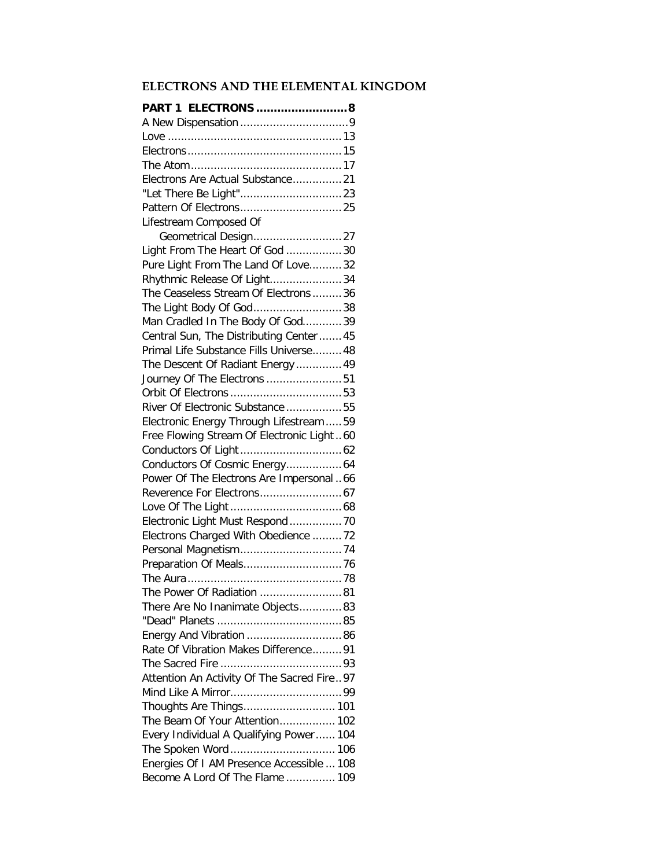## **ELECTRONS AND THE ELEMENTAL KINGDOM**

| PART 1 ELECTRONS 8                          |  |
|---------------------------------------------|--|
|                                             |  |
|                                             |  |
|                                             |  |
|                                             |  |
| Electrons Are Actual Substance21            |  |
|                                             |  |
|                                             |  |
| Lifestream Composed Of                      |  |
| Geometrical Design27                        |  |
| Light From The Heart Of God 30              |  |
| Pure Light From The Land Of Love32          |  |
| Rhythmic Release Of Light34                 |  |
| The Ceaseless Stream Of Electrons 36        |  |
| The Light Body Of God38                     |  |
| Man Cradled In The Body Of God39            |  |
| Central Sun, The Distributing Center  45    |  |
| Primal Life Substance Fills Universe 48     |  |
| The Descent Of Radiant Energy  49           |  |
| Journey Of The Electrons 51                 |  |
|                                             |  |
| River Of Electronic Substance 55            |  |
| Electronic Energy Through Lifestream  59    |  |
| Free Flowing Stream Of Electronic Light  60 |  |
|                                             |  |
| Conductors Of Cosmic Energy 64              |  |
| Power Of The Electrons Are Impersonal  66   |  |
| Reverence For Electrons 67                  |  |
|                                             |  |
| Electronic Light Must Respond  70           |  |
| Electrons Charged With Obedience 72         |  |
| Personal Magnetism74                        |  |
|                                             |  |
|                                             |  |
| The Power Of Radiation 81                   |  |
| There Are No Inanimate Objects83            |  |
|                                             |  |
| Energy And Vibration 86                     |  |
| Rate Of Vibration Makes Difference 91       |  |
|                                             |  |
|                                             |  |
| Attention An Activity Of The Sacred Fire97  |  |
|                                             |  |
| Thoughts Are Things 101                     |  |
| The Beam Of Your Attention 102              |  |
| Every Individual A Qualifying Power 104     |  |
| The Spoken Word 106                         |  |
| Energies Of I AM Presence Accessible  108   |  |
| Become A Lord Of The Flame  109             |  |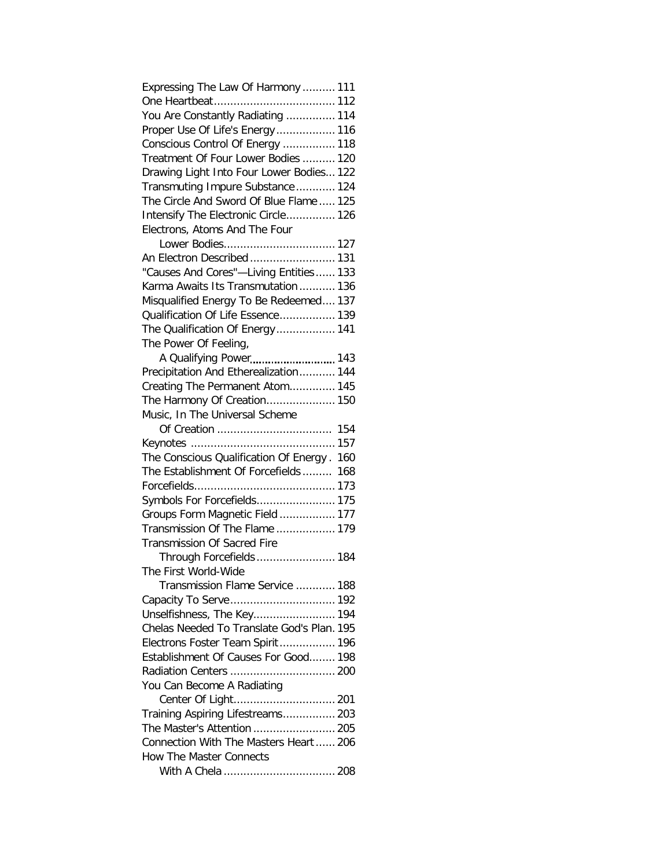| Expressing The Law Of Harmony  111         |
|--------------------------------------------|
|                                            |
| You Are Constantly Radiating  114          |
| Proper Use Of Life's Energy 116            |
| Conscious Control Of Energy  118           |
| Treatment Of Four Lower Bodies  120        |
| Drawing Light Into Four Lower Bodies 122   |
| Transmuting Impure Substance 124           |
| The Circle And Sword Of Blue Flame  125    |
| Intensify The Electronic Circle 126        |
| Electrons, Atoms And The Four              |
| Lower Bodies 127                           |
| An Electron Described 131                  |
| "Causes And Cores"-Living Entities 133     |
| Karma Awaits Its Transmutation 136         |
| Misqualified Energy To Be Redeemed 137     |
| Qualification Of Life Essence 139          |
| The Qualification Of Energy 141            |
| The Power Of Feeling,                      |
| A Qualifying Power 143                     |
| Precipitation And Etherealization 144      |
| Creating The Permanent Atom 145            |
| The Harmony Of Creation 150                |
| Music, In The Universal Scheme             |
|                                            |
|                                            |
| The Conscious Qualification Of Energy. 160 |
| The Establishment Of Forcefields 168       |
|                                            |
| Symbols For Forcefields 175                |
| Groups Form Magnetic Field  177            |
| Transmission Of The Flame  179             |
| Transmission Of Sacred Fire                |
| Through Forcefields  184                   |
| The First World-Wide                       |
| Transmission Flame Service  188            |
|                                            |
| Unselfishness, The Key 194                 |
| Chelas Needed To Translate God's Plan. 195 |
| Electrons Foster Team Spirit 196           |
| Establishment Of Causes For Good 198       |
| Radiation Centers  200                     |
| You Can Become A Radiating                 |
|                                            |
| Training Aspiring Lifestreams 203          |
| The Master's Attention  205                |
| Connection With The Masters Heart  206     |
| <b>How The Master Connects</b>             |
|                                            |
|                                            |